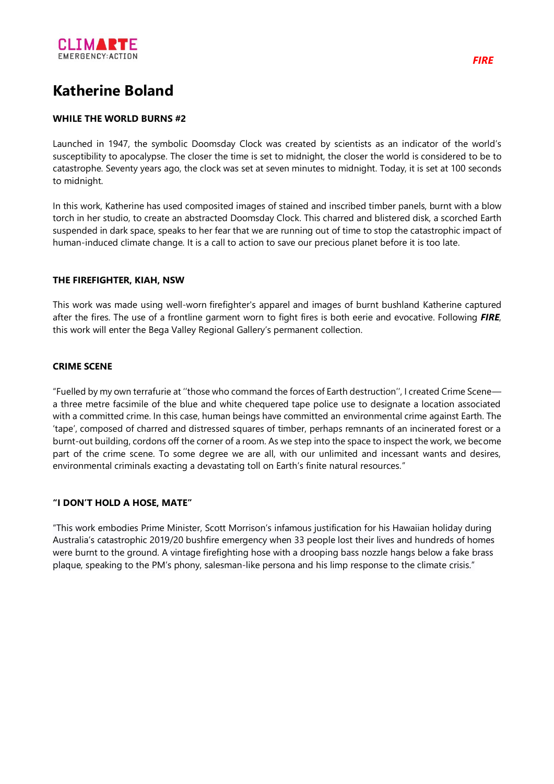

# **Katherine Boland**

### **WHILE THE WORLD BURNS #2**

Launched in 1947, the symbolic Doomsday Clock was created by scientists as an indicator of the world's susceptibility to apocalypse. The closer the time is set to midnight, the closer the world is considered to be to catastrophe. Seventy years ago, the clock was set at seven minutes to midnight. Today, it is set at 100 seconds to midnight.

In this work, Katherine has used composited images of stained and inscribed timber panels, burnt with a blow torch in her studio, to create an abstracted Doomsday Clock. This charred and blistered disk, a scorched Earth suspended in dark space, speaks to her fear that we are running out of time to stop the catastrophic impact of human-induced climate change. It is a call to action to save our precious planet before it is too late.

#### **THE FIREFIGHTER, KIAH, NSW**

This work was made using well-worn firefighter's apparel and images of burnt bushland Katherine captured after the fires. The use of a frontline garment worn to fight fires is both eerie and evocative. Following *FIRE*, this work will enter the Bega Valley Regional Gallery's permanent collection.

### **CRIME SCENE**

"Fuelled by my own terrafurie at ''those who command the forces of Earth destruction'', I created Crime Scene a three metre facsimile of the blue and white chequered tape police use to designate a location associated with a committed crime. In this case, human beings have committed an environmental crime against Earth. The 'tape', composed of charred and distressed squares of timber, perhaps remnants of an incinerated forest or a burnt-out building, cordons off the corner of a room. As we step into the space to inspect the work, we become part of the crime scene. To some degree we are all, with our unlimited and incessant wants and desires, environmental criminals exacting a devastating toll on Earth's finite natural resources."

## **"I DON'T HOLD A HOSE, MATE"**

"This work embodies Prime Minister, Scott Morrison's infamous justification for his Hawaiian holiday during Australia's catastrophic 2019/20 bushfire emergency when 33 people lost their lives and hundreds of homes were burnt to the ground. A vintage firefighting hose with a drooping bass nozzle hangs below a fake brass plaque, speaking to the PM's phony, salesman-like persona and his limp response to the climate crisis."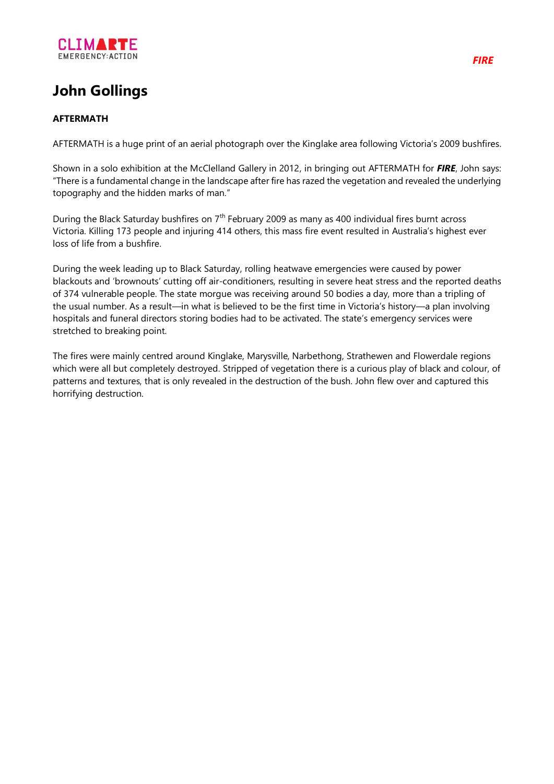

# **John Gollings**

## **AFTERMATH**

AFTERMATH is a huge print of an aerial photograph over the Kinglake area following Victoria's 2009 bushfires.

Shown in a solo exhibition at the McClelland Gallery in 2012, in bringing out AFTERMATH for *FIRE*, John says: "There is a fundamental change in the landscape after fire has razed the vegetation and revealed the underlying topography and the hidden marks of man."

During the Black Saturday bushfires on 7<sup>th</sup> February 2009 as many as 400 individual fires burnt across Victoria. Killing 173 people and injuring 414 others, this mass fire event resulted in Australia's highest ever loss of life from a bushfire.

During the week leading up to Black Saturday, rolling heatwave emergencies were caused by power blackouts and 'brownouts' cutting off air-conditioners, resulting in severe heat stress and the reported deaths of 374 vulnerable people. The state morgue was receiving around 50 bodies a day, more than a tripling of the usual number. As a result—in what is believed to be the first time in Victoria's history—a plan involving hospitals and funeral directors storing bodies had to be activated. The state's emergency services were stretched to breaking point.

The fires were mainly centred around Kinglake, Marysville, Narbethong, Strathewen and Flowerdale regions which were all but completely destroyed. Stripped of vegetation there is a curious play of black and colour, of patterns and textures, that is only revealed in the destruction of the bush. John flew over and captured this horrifying destruction.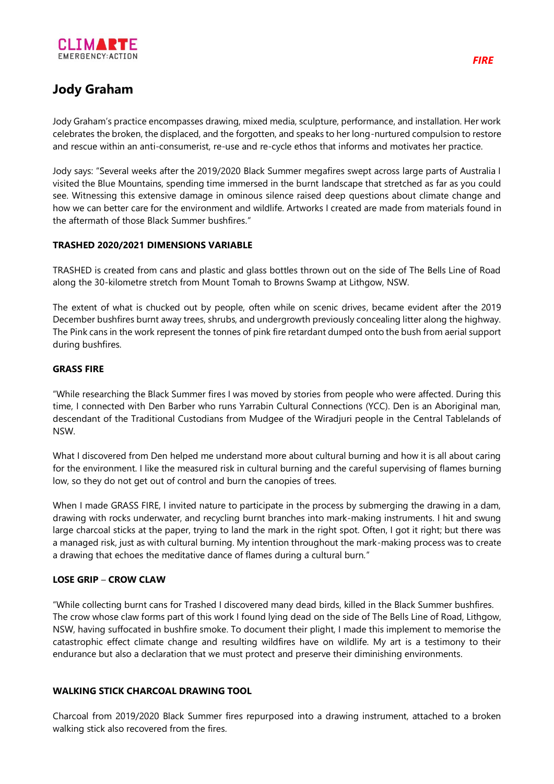

# **Jody Graham**

Jody Graham's practice encompasses drawing, mixed media, sculpture, performance, and installation. Her work celebrates the broken, the displaced, and the forgotten, and speaks to her long-nurtured compulsion to restore and rescue within an anti-consumerist, re-use and re-cycle ethos that informs and motivates her practice.

Jody says: "Several weeks after the 2019/2020 Black Summer megafires swept across large parts of Australia I visited the Blue Mountains, spending time immersed in the burnt landscape that stretched as far as you could see. Witnessing this extensive damage in ominous silence raised deep questions about climate change and how we can better care for the environment and wildlife. Artworks I created are made from materials found in the aftermath of those Black Summer bushfires."

### **TRASHED 2020/2021 DIMENSIONS VARIABLE**

TRASHED is created from cans and plastic and glass bottles thrown out on the side of The Bells Line of Road along the 30-kilometre stretch from Mount Tomah to Browns Swamp at Lithgow, NSW.

The extent of what is chucked out by people, often while on scenic drives, became evident after the 2019 December bushfires burnt away trees, shrubs, and undergrowth previously concealing litter along the highway. The Pink cans in the work represent the tonnes of pink fire retardant dumped onto the bush from aerial support during bushfires.

### **GRASS FIRE**

"While researching the Black Summer fires I was moved by stories from people who were affected. During this time, I connected with Den Barber who runs Yarrabin Cultural Connections (YCC). Den is an Aboriginal man, descendant of the Traditional Custodians from Mudgee of the Wiradjuri people in the Central Tablelands of NSW.

What I discovered from Den helped me understand more about cultural burning and how it is all about caring for the environment. I like the measured risk in cultural burning and the careful supervising of flames burning low, so they do not get out of control and burn the canopies of trees.

When I made GRASS FIRE, I invited nature to participate in the process by submerging the drawing in a dam, drawing with rocks underwater, and recycling burnt branches into mark-making instruments. I hit and swung large charcoal sticks at the paper, trying to land the mark in the right spot. Often, I got it right; but there was a managed risk, just as with cultural burning. My intention throughout the mark-making process was to create a drawing that echoes the meditative dance of flames during a cultural burn."

## **LOSE GRIP** – **CROW CLAW**

"While collecting burnt cans for Trashed I discovered many dead birds, killed in the Black Summer bushfires. The crow whose claw forms part of this work I found lying dead on the side of The Bells Line of Road, Lithgow, NSW, having suffocated in bushfire smoke. To document their plight, I made this implement to memorise the catastrophic effect climate change and resulting wildfires have on wildlife. My art is a testimony to their endurance but also a declaration that we must protect and preserve their diminishing environments.

#### **WALKING STICK CHARCOAL DRAWING TOOL**

Charcoal from 2019/2020 Black Summer fires repurposed into a drawing instrument, attached to a broken walking stick also recovered from the fires.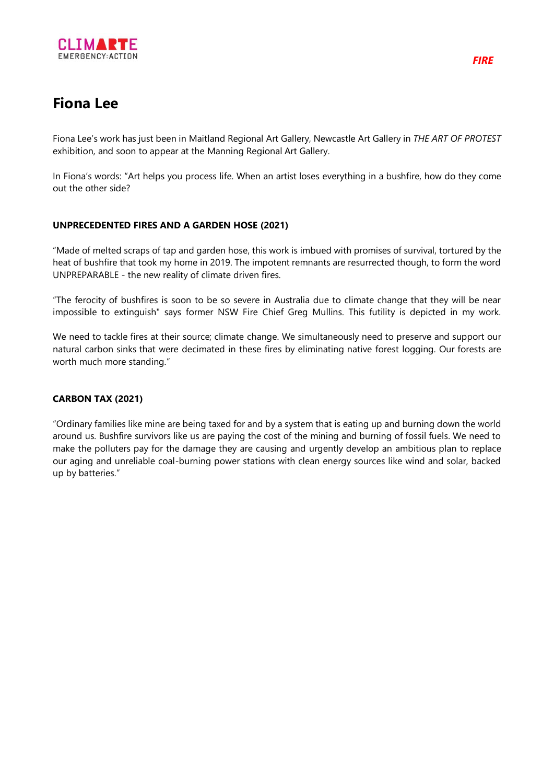

# **Fiona Lee**

Fiona Lee's work has just been in Maitland Regional Art Gallery, Newcastle Art Gallery in *THE ART OF PROTEST* exhibition, and soon to appear at the Manning Regional Art Gallery.

In Fiona's words: "Art helps you process life. When an artist loses everything in a bushfire, how do they come out the other side?

#### **UNPRECEDENTED FIRES AND A GARDEN HOSE (2021)**

"Made of melted scraps of tap and garden hose, this work is imbued with promises of survival, tortured by the heat of bushfire that took my home in 2019. The impotent remnants are resurrected though, to form the word UNPREPARABLE - the new reality of climate driven fires.

"The ferocity of bushfires is soon to be so severe in Australia due to climate change that they will be near impossible to extinguish" says former NSW Fire Chief Greg Mullins. This futility is depicted in my work.

We need to tackle fires at their source; climate change. We simultaneously need to preserve and support our natural carbon sinks that were decimated in these fires by eliminating native forest logging. Our forests are worth much more standing."

## **CARBON TAX (2021)**

"Ordinary families like mine are being taxed for and by a system that is eating up and burning down the world around us. Bushfire survivors like us are paying the cost of the mining and burning of fossil fuels. We need to make the polluters pay for the damage they are causing and urgently develop an ambitious plan to replace our aging and unreliable coal-burning power stations with clean energy sources like wind and solar, backed up by batteries."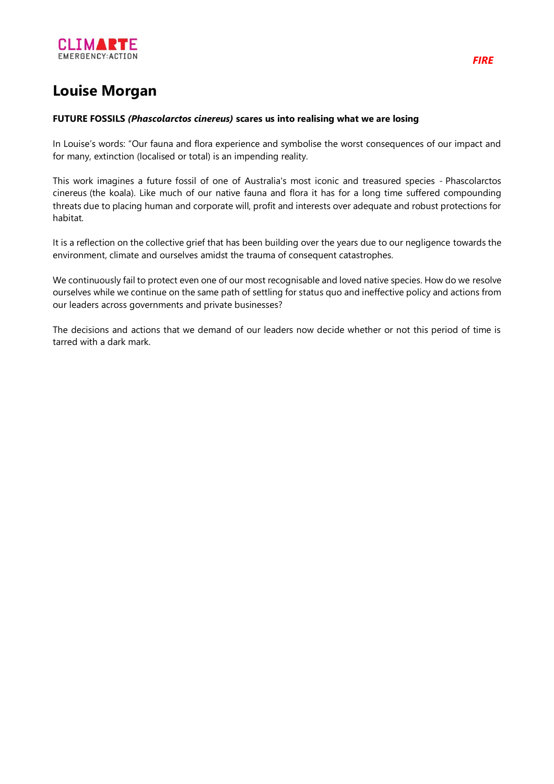

# **Louise Morgan**

#### **FUTURE FOSSILS** *(Phascolarctos cinereus)* **scares us into realising what we are losing**

In Louise's words: "Our fauna and flora experience and symbolise the worst consequences of our impact and for many, extinction (localised or total) is an impending reality.

This work imagines a future fossil of one of Australia's most iconic and treasured species - Phascolarctos cinereus (the koala). Like much of our native fauna and flora it has for a long time suffered compounding threats due to placing human and corporate will, profit and interests over adequate and robust protections for habitat.

It is a reflection on the collective grief that has been building over the years due to our negligence towards the environment, climate and ourselves amidst the trauma of consequent catastrophes.

We continuously fail to protect even one of our most recognisable and loved native species. How do we resolve ourselves while we continue on the same path of settling for status quo and ineffective policy and actions from our leaders across governments and private businesses?

The decisions and actions that we demand of our leaders now decide whether or not this period of time is tarred with a dark mark.